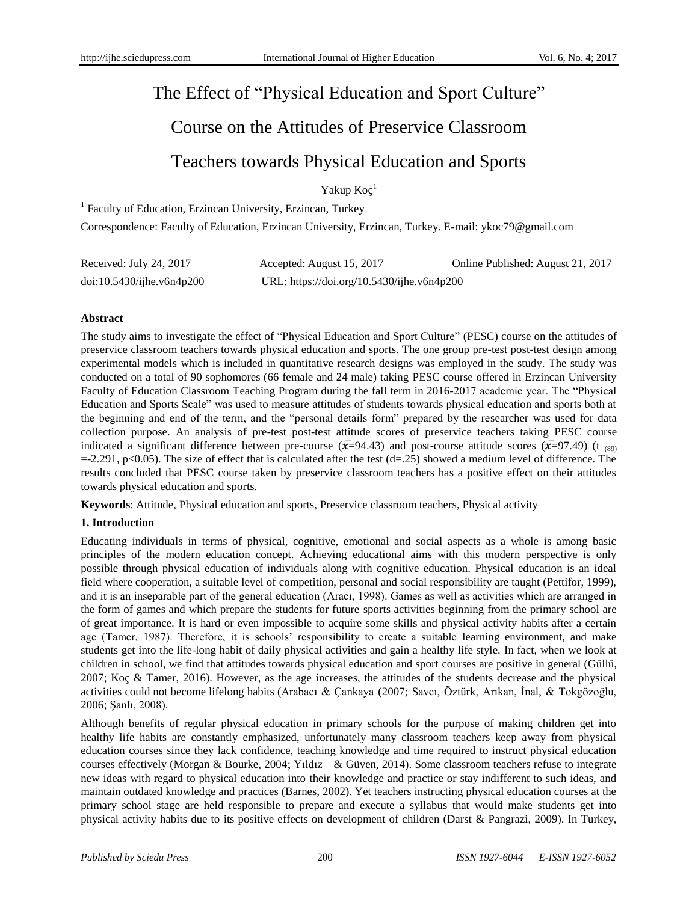# The Effect of "Physical Education and Sport Culture"

# Course on the Attitudes of Preservice Classroom

# Teachers towards Physical Education and Sports

Yakup Koç<sup>1</sup>

<sup>1</sup> Faculty of Education, Erzincan University, Erzincan, Turkey

Correspondence: Faculty of Education, Erzincan University, Erzincan, Turkey. E-mail: ykoc79@gmail.com

| Received: July 24, 2017      | Accepted: August 15, 2017                  | Online Published: August 21, 2017 |
|------------------------------|--------------------------------------------|-----------------------------------|
| $doi:10.5430/ij$ he.v6n4p200 | URL: https://doi.org/10.5430/ijhe.v6n4p200 |                                   |

# **Abstract**

The study aims to investigate the effect of "Physical Education and Sport Culture" (PESC) course on the attitudes of preservice classroom teachers towards physical education and sports. The one group pre-test post-test design among experimental models which is included in quantitative research designs was employed in the study. The study was conducted on a total of 90 sophomores (66 female and 24 male) taking PESC course offered in Erzincan University Faculty of Education Classroom Teaching Program during the fall term in 2016-2017 academic year. The "Physical Education and Sports Scale" was used to measure attitudes of students towards physical education and sports both at the beginning and end of the term, and the "personal details form" prepared by the researcher was used for data collection purpose. An analysis of pre-test post-test attitude scores of preservice teachers taking PESC course indicated a significant difference between pre-course  $(\bar{x}=94.43)$  and post-course attitude scores  $(\bar{x}=97.49)$  (t  $_{(89)}$ )  $=$  2.291, p<0.05). The size of effect that is calculated after the test (d=.25) showed a medium level of difference. The results concluded that PESC course taken by preservice classroom teachers has a positive effect on their attitudes towards physical education and sports.

**Keywords**: Attitude, Physical education and sports, Preservice classroom teachers, Physical activity

# **1. Introduction**

Educating individuals in terms of physical, cognitive, emotional and social aspects as a whole is among basic principles of the modern education concept. Achieving educational aims with this modern perspective is only possible through physical education of individuals along with cognitive education. Physical education is an ideal field where cooperation, a suitable level of competition, personal and social responsibility are taught (Pettifor, 1999), and it is an inseparable part of the general education (Aracı, 1998). Games as well as activities which are arranged in the form of games and which prepare the students for future sports activities beginning from the primary school are of great importance. It is hard or even impossible to acquire some skills and physical activity habits after a certain age (Tamer, 1987). Therefore, it is schools' responsibility to create a suitable learning environment, and make students get into the life-long habit of daily physical activities and gain a healthy life style. In fact, when we look at children in school, we find that attitudes towards physical education and sport courses are positive in general (Güllü, 2007; Koç & Tamer, 2016). However, as the age increases, the attitudes of the students decrease and the physical activities could not become lifelong habits (Arabacı & Çankaya (2007; Savcı, Öztürk, Arıkan, İnal, & Tokgözoğlu, 2006; Şanlı, 2008).

Although benefits of regular physical education in primary schools for the purpose of making children get into healthy life habits are constantly emphasized, unfortunately many classroom teachers keep away from physical education courses since they lack confidence, teaching knowledge and time required to instruct physical education courses effectively (Morgan & Bourke, 2004; Yıldız & Güven, 2014). Some classroom teachers refuse to integrate new ideas with regard to physical education into their knowledge and practice or stay indifferent to such ideas, and maintain outdated knowledge and practices (Barnes, 2002). Yet teachers instructing physical education courses at the primary school stage are held responsible to prepare and execute a syllabus that would make students get into physical activity habits due to its positive effects on development of children (Darst & Pangrazi, 2009). In Turkey,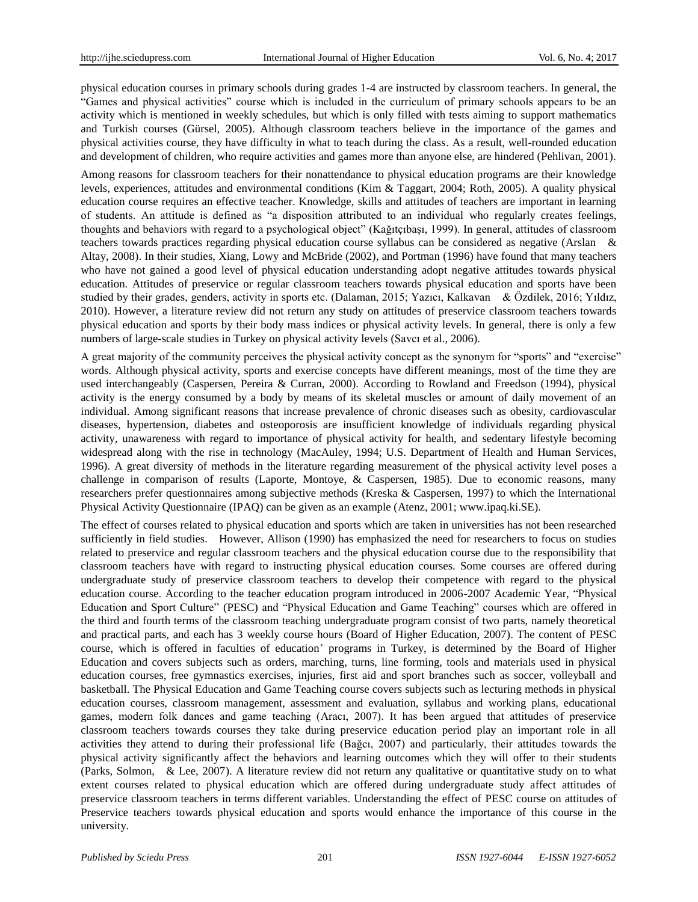physical education courses in primary schools during grades 1-4 are instructed by classroom teachers. In general, the "Games and physical activities" course which is included in the curriculum of primary schools appears to be an activity which is mentioned in weekly schedules, but which is only filled with tests aiming to support mathematics and Turkish courses (Gürsel, 2005). Although classroom teachers believe in the importance of the games and physical activities course, they have difficulty in what to teach during the class. As a result, well-rounded education and development of children, who require activities and games more than anyone else, are hindered (Pehlivan, 2001).

Among reasons for classroom teachers for their nonattendance to physical education programs are their knowledge levels, experiences, attitudes and environmental conditions (Kim & Taggart, 2004; Roth, 2005). A quality physical education course requires an effective teacher. Knowledge, skills and attitudes of teachers are important in learning of students. An attitude is defined as "a disposition attributed to an individual who regularly creates feelings, thoughts and behaviors with regard to a psychological object" (Kağıtçıbaşı, 1999). In general, attitudes of classroom teachers towards practices regarding physical education course syllabus can be considered as negative (Arslan & Altay, 2008). In their studies, Xiang, Lowy and McBride (2002), and Portman (1996) have found that many teachers who have not gained a good level of physical education understanding adopt negative attitudes towards physical education. Attitudes of preservice or regular classroom teachers towards physical education and sports have been studied by their grades, genders, activity in sports etc. (Dalaman, 2015; Yazıcı, Kalkavan & Özdilek, 2016; Yıldız, 2010). However, a literature review did not return any study on attitudes of preservice classroom teachers towards physical education and sports by their body mass indices or physical activity levels. In general, there is only a few numbers of large-scale studies in Turkey on physical activity levels (Savcı et al., 2006).

A great majority of the community perceives the physical activity concept as the synonym for "sports" and "exercise" words. Although physical activity, sports and exercise concepts have different meanings, most of the time they are used interchangeably (Caspersen, Pereira & Curran, 2000). According to Rowland and Freedson (1994), physical activity is the energy consumed by a body by means of its skeletal muscles or amount of daily movement of an individual. Among significant reasons that increase prevalence of chronic diseases such as obesity, cardiovascular diseases, hypertension, diabetes and osteoporosis are insufficient knowledge of individuals regarding physical activity, unawareness with regard to importance of physical activity for health, and sedentary lifestyle becoming widespread along with the rise in technology (MacAuley, 1994; U.S. Department of Health and Human Services, 1996). A great diversity of methods in the literature regarding measurement of the physical activity level poses a challenge in comparison of results (Laporte, Montoye, & Caspersen, 1985). Due to economic reasons, many researchers prefer questionnaires among subjective methods (Kreska & Caspersen, 1997) to which the International Physical Activity Questionnaire (IPAQ) can be given as an example (Atenz, 2001; www.ipaq.ki.SE).

The effect of courses related to physical education and sports which are taken in universities has not been researched sufficiently in field studies. However, Allison (1990) has emphasized the need for researchers to focus on studies related to preservice and regular classroom teachers and the physical education course due to the responsibility that classroom teachers have with regard to instructing physical education courses. Some courses are offered during undergraduate study of preservice classroom teachers to develop their competence with regard to the physical education course. According to the teacher education program introduced in 2006-2007 Academic Year, "Physical Education and Sport Culture" (PESC) and "Physical Education and Game Teaching" courses which are offered in the third and fourth terms of the classroom teaching undergraduate program consist of two parts, namely theoretical and practical parts, and each has 3 weekly course hours (Board of Higher Education, 2007). The content of PESC course, which is offered in faculties of education' programs in Turkey, is determined by the Board of Higher Education and covers subjects such as orders, marching, turns, line forming, tools and materials used in physical education courses, free gymnastics exercises, injuries, first aid and sport branches such as soccer, volleyball and basketball. The Physical Education and Game Teaching course covers subjects such as lecturing methods in physical education courses, classroom management, assessment and evaluation, syllabus and working plans, educational games, modern folk dances and game teaching (Aracı, 2007). It has been argued that attitudes of preservice classroom teachers towards courses they take during preservice education period play an important role in all activities they attend to during their professional life (Bağcı, 2007) and particularly, their attitudes towards the physical activity significantly affect the behaviors and learning outcomes which they will offer to their students (Parks, Solmon, & Lee, 2007). A literature review did not return any qualitative or quantitative study on to what extent courses related to physical education which are offered during undergraduate study affect attitudes of preservice classroom teachers in terms different variables. Understanding the effect of PESC course on attitudes of Preservice teachers towards physical education and sports would enhance the importance of this course in the university.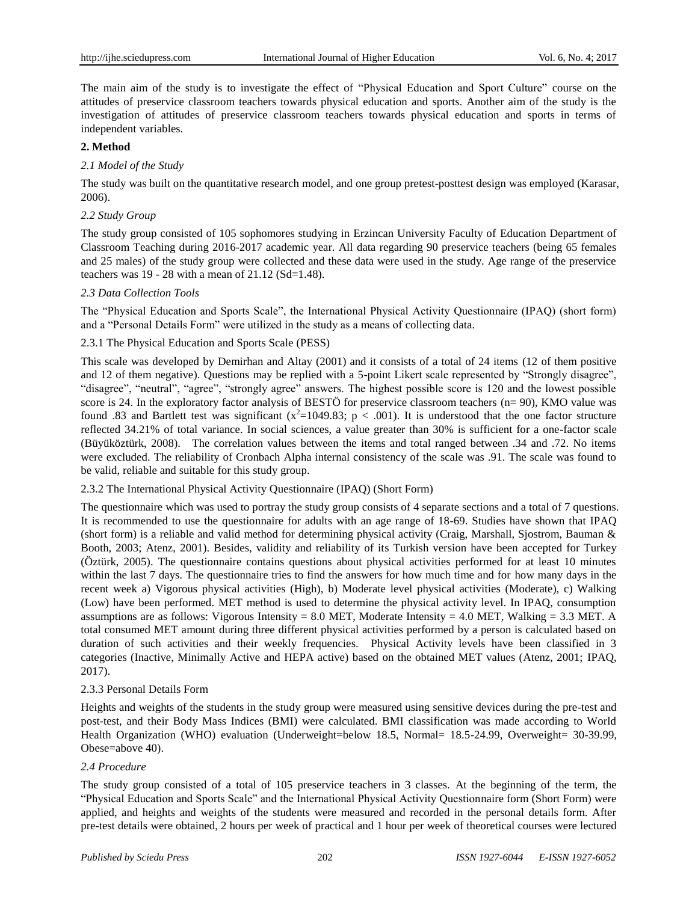The main aim of the study is to investigate the effect of "Physical Education and Sport Culture" course on the attitudes of preservice classroom teachers towards physical education and sports. Another aim of the study is the investigation of attitudes of preservice classroom teachers towards physical education and sports in terms of independent variables.

#### **2. Method**

#### *2.1 Model of the Study*

The study was built on the quantitative research model, and one group pretest-posttest design was employed (Karasar, 2006).

#### *2.2 Study Group*

The study group consisted of 105 sophomores studying in Erzincan University Faculty of Education Department of Classroom Teaching during 2016-2017 academic year. All data regarding 90 preservice teachers (being 65 females and 25 males) of the study group were collected and these data were used in the study. Age range of the preservice teachers was  $19 - 28$  with a mean of  $21.12$  (Sd=1.48).

#### *2.3 Data Collection Tools*

The "Physical Education and Sports Scale", the International Physical Activity Questionnaire (IPAQ) (short form) and a "Personal Details Form" were utilized in the study as a means of collecting data.

#### 2.3.1 The Physical Education and Sports Scale (PESS)

This scale was developed by Demirhan and Altay (2001) and it consists of a total of 24 items (12 of them positive and 12 of them negative). Questions may be replied with a 5-point Likert scale represented by "Strongly disagree", "disagree", "neutral", "agree", "strongly agree" answers. The highest possible score is 120 and the lowest possible score is 24. In the exploratory factor analysis of BESTÖ for preservice classroom teachers (n= 90), KMO value was found .83 and Bartlett test was significant ( $x^2$ =1049.83; p < .001). It is understood that the one factor structure reflected 34.21% of total variance. In social sciences, a value greater than 30% is sufficient for a one-factor scale (Büyüköztürk, 2008). The correlation values between the items and total ranged between .34 and .72. No items were excluded. The reliability of Cronbach Alpha internal consistency of the scale was .91. The scale was found to be valid, reliable and suitable for this study group.

#### 2.3.2 The International Physical Activity Questionnaire (IPAQ) (Short Form)

The questionnaire which was used to portray the study group consists of 4 separate sections and a total of 7 questions. It is recommended to use the questionnaire for adults with an age range of 18-69. Studies have shown that IPAQ (short form) is a reliable and valid method for determining physical activity (Craig, Marshall, Sjostrom, Bauman & Booth, 2003; Atenz, 2001). Besides, validity and reliability of its Turkish version have been accepted for Turkey (Öztürk, 2005). The questionnaire contains questions about physical activities performed for at least 10 minutes within the last 7 days. The questionnaire tries to find the answers for how much time and for how many days in the recent week a) Vigorous physical activities (High), b) Moderate level physical activities (Moderate), c) Walking (Low) have been performed. MET method is used to determine the physical activity level. In IPAQ, consumption assumptions are as follows: Vigorous Intensity = 8.0 MET, Moderate Intensity = 4.0 MET, Walking = 3.3 MET. A total consumed MET amount during three different physical activities performed by a person is calculated based on duration of such activities and their weekly frequencies. Physical Activity levels have been classified in 3 categories (Inactive, Minimally Active and HEPA active) based on the obtained MET values (Atenz, 2001; IPAQ, 2017).

## 2.3.3 Personal Details Form

Heights and weights of the students in the study group were measured using sensitive devices during the pre-test and post-test, and their Body Mass Indices (BMI) were calculated. BMI classification was made according to World Health Organization (WHO) evaluation (Underweight=below 18.5, Normal= 18.5-24.99, Overweight= 30-39.99, Obese=above 40).

#### *2.4 Procedure*

The study group consisted of a total of 105 preservice teachers in 3 classes. At the beginning of the term, the "Physical Education and Sports Scale" and the International Physical Activity Questionnaire form (Short Form) were applied, and heights and weights of the students were measured and recorded in the personal details form. After pre-test details were obtained, 2 hours per week of practical and 1 hour per week of theoretical courses were lectured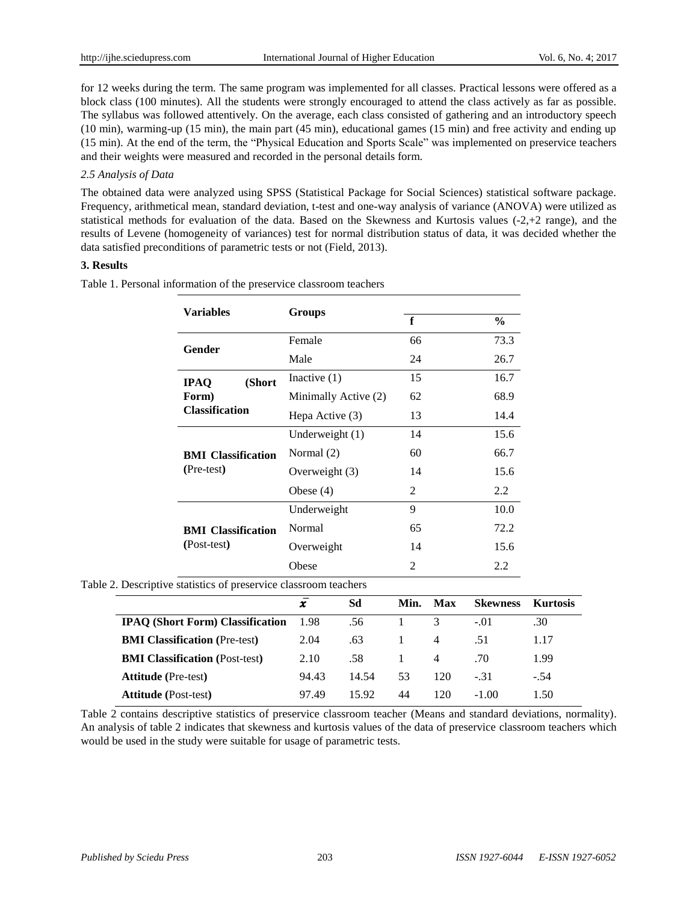for 12 weeks during the term. The same program was implemented for all classes. Practical lessons were offered as a block class (100 minutes). All the students were strongly encouraged to attend the class actively as far as possible. The syllabus was followed attentively. On the average, each class consisted of gathering and an introductory speech (10 min), warming-up (15 min), the main part (45 min), educational games (15 min) and free activity and ending up (15 min). At the end of the term, the "Physical Education and Sports Scale" was implemented on preservice teachers and their weights were measured and recorded in the personal details form.

# *2.5 Analysis of Data*

The obtained data were analyzed using SPSS (Statistical Package for Social Sciences) statistical software package. Frequency, arithmetical mean, standard deviation, t-test and one-way analysis of variance (ANOVA) were utilized as statistical methods for evaluation of the data. Based on the Skewness and Kurtosis values (-2,+2 range), and the results of Levene (homogeneity of variances) test for normal distribution status of data, it was decided whether the data satisfied preconditions of parametric tests or not (Field, 2013).

## **3. Results**

| <b>Variables</b>          | <b>Groups</b>        | $\mathbf f$    | $\frac{6}{9}$ |
|---------------------------|----------------------|----------------|---------------|
|                           | Female               | 66             | 73.3          |
| Gender                    | Male                 | 24             | 26.7          |
| (Short<br><b>IPAQ</b>     | Inactive $(1)$       | 15             | 16.7          |
| Form)                     | Minimally Active (2) | 62             | 68.9          |
| <b>Classification</b>     | Hepa Active (3)      | 13             | 14.4          |
|                           | Underweight (1)      | 14             | 15.6          |
| <b>BMI</b> Classification | Normal $(2)$         | 60             | 66.7          |
| (Pre-test)                | Overweight (3)       | 14             | 15.6          |
|                           | Obese $(4)$          | 2              | 2.2           |
|                           | Underweight          | 9              | 10.0          |
| <b>BMI</b> Classification | Normal               | 65             | 72.2          |
| (Post-test)               | Overweight           | 14             | 15.6          |
|                           | Obese                | $\mathfrak{D}$ | 2.2           |

Table 1. Personal information of the preservice classroom teachers

| Table 2. Descriptive statistics of preservice classroom teachers |  |  |
|------------------------------------------------------------------|--|--|
|------------------------------------------------------------------|--|--|

|                                         | x     | Sd    | Min. | Max            | <b>Skewness</b> | <b>Kurtosis</b> |
|-----------------------------------------|-------|-------|------|----------------|-----------------|-----------------|
| <b>IPAQ (Short Form) Classification</b> | 1.98  | .56   |      |                | $-.01$          | .30             |
| <b>BMI Classification</b> (Pre-test)    | 2.04  | .63   |      | $\overline{4}$ | .51             | 1 17            |
| <b>BMI Classification</b> (Post-test)   | 2.10  | .58   |      | $\overline{4}$ | .70             | 1.99            |
| <b>Attitude</b> (Pre-test)              | 94.43 | 14.54 | 53   | 120            | $-31$           | $-.54$          |
| <b>Attitude</b> (Post-test)             | 97.49 | 15.92 | 44   | 120            | $-1.00$         | 1.50            |

Table 2 contains descriptive statistics of preservice classroom teacher (Means and standard deviations, normality). An analysis of table 2 indicates that skewness and kurtosis values of the data of preservice classroom teachers which would be used in the study were suitable for usage of parametric tests.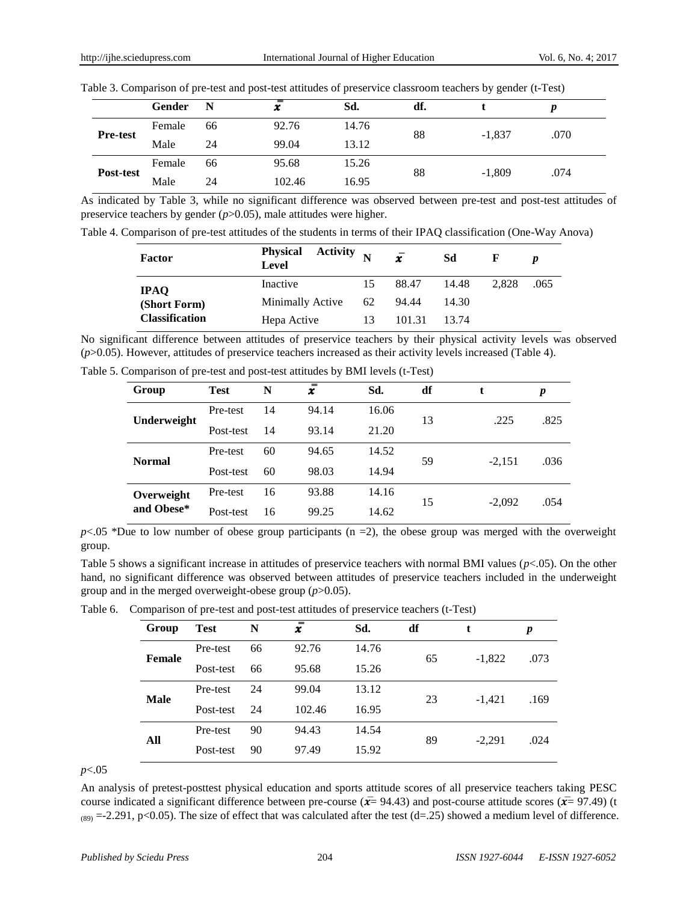|                 | Gender | $\blacksquare$ |        | Sd.         | df. |          |      |
|-----------------|--------|----------------|--------|-------------|-----|----------|------|
|                 | Female | 66             | 92.76  | 14.76       |     | $-1.837$ |      |
| <b>Pre-test</b> | Male   | 24             | 99.04  | 13.12       | 88  |          | .070 |
| Post-test       | Female | 66             | 95.68  | 15.26       |     | $-1,809$ | .074 |
|                 | Male   | 24             | 102.46 | 88<br>16.95 |     |          |      |

Table 3. Comparison of pre-test and post-test attitudes of preservice classroom teachers by gender (t-Test)

As indicated by Table 3, while no significant difference was observed between pre-test and post-test attitudes of preservice teachers by gender (*p*>0.05), male attitudes were higher.

Table 4. Comparison of pre-test attitudes of the students in terms of their IPAQ classification (One-Way Anova)

| Factor                | <b>Physical</b><br>Activity $N$<br>Level |    | x      | Sd    |       |      |
|-----------------------|------------------------------------------|----|--------|-------|-------|------|
| <b>IPAQ</b>           | Inactive                                 | 15 | 88.47  | 14.48 | 2.828 | .065 |
| (Short Form)          | Minimally Active                         | 62 | 94.44  | 14.30 |       |      |
| <b>Classification</b> | Hepa Active                              | 13 | 101.31 | 13.74 |       |      |

No significant difference between attitudes of preservice teachers by their physical activity levels was observed (*p*>0.05). However, attitudes of preservice teachers increased as their activity levels increased (Table 4).

Table 5. Comparison of pre-test and post-test attitudes by BMI levels (t-Test)

| Group                    | <b>Test</b> | N  | $=$<br>x | Sd.   | df |          | p    |
|--------------------------|-------------|----|----------|-------|----|----------|------|
| Underweight              | Pre-test    | 14 | 94.14    | 16.06 | 13 | .225     | .825 |
|                          | Post-test   | 14 | 93.14    | 21.20 |    |          |      |
| <b>Normal</b>            | Pre-test    | 60 | 94.65    | 14.52 | 59 | $-2.151$ | .036 |
|                          | Post-test   | 60 | 98.03    | 14.94 |    |          |      |
| Overweight<br>and Obese* | Pre-test    | 16 | 93.88    | 14.16 | 15 | $-2.092$ | .054 |
|                          | Post-test   | 16 | 99.25    | 14.62 |    |          |      |

 $p$ <.05 \*Due to low number of obese group participants (n =2), the obese group was merged with the overweight group.

Table 5 shows a significant increase in attitudes of preservice teachers with normal BMI values (*p*<.05). On the other hand, no significant difference was observed between attitudes of preservice teachers included in the underweight group and in the merged overweight-obese group (*p*>0.05).

Table 6. Comparison of pre-test and post-test attitudes of preservice teachers (t-Test)

| Group       | <b>Test</b> | N  | $\equiv$<br>x | Sd.   | df | t        | p    |
|-------------|-------------|----|---------------|-------|----|----------|------|
|             | Pre-test    | 66 | 92.76         | 14.76 | 65 | $-1,822$ | .073 |
| Female      | Post-test   | 66 | 95.68         | 15.26 |    |          |      |
|             | Pre-test    | 24 | 99.04         | 13.12 | 23 | $-1,421$ | .169 |
| <b>Male</b> | Post-test   | 24 | 102.46        | 16.95 |    |          |      |
|             | Pre-test    | 90 | 94.43         | 14.54 | 89 |          | .024 |
| All         | Post-test   | 90 | 97.49         | 15.92 |    | $-2.291$ |      |

*p*<.05

An analysis of pretest-posttest physical education and sports attitude scores of all preservice teachers taking PESC course indicated a significant difference between pre-course ( $\bar{x}$ = 94.43) and post-course attitude scores ( $\bar{x}$ = 97.49) (t  $_{(89)} = -2.291$ , p<0.05). The size of effect that was calculated after the test (d=.25) showed a medium level of difference.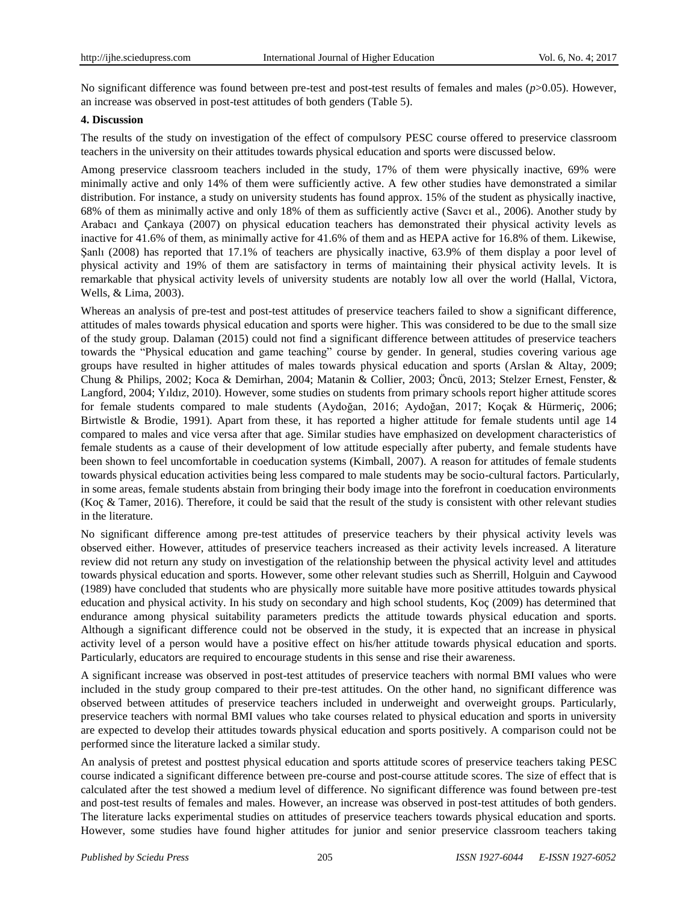No significant difference was found between pre-test and post-test results of females and males (*p*>0.05). However, an increase was observed in post-test attitudes of both genders (Table 5).

## **4. Discussion**

The results of the study on investigation of the effect of compulsory PESC course offered to preservice classroom teachers in the university on their attitudes towards physical education and sports were discussed below.

Among preservice classroom teachers included in the study, 17% of them were physically inactive, 69% were minimally active and only 14% of them were sufficiently active. A few other studies have demonstrated a similar distribution. For instance, a study on university students has found approx. 15% of the student as physically inactive, 68% of them as minimally active and only 18% of them as sufficiently active (Savcı et al., 2006). Another study by Arabacı and Çankaya (2007) on physical education teachers has demonstrated their physical activity levels as inactive for 41.6% of them, as minimally active for 41.6% of them and as HEPA active for 16.8% of them. Likewise, Şanlı (2008) has reported that 17.1% of teachers are physically inactive, 63.9% of them display a poor level of physical activity and 19% of them are satisfactory in terms of maintaining their physical activity levels. It is remarkable that physical activity levels of university students are notably low all over the world (Hallal, Victora, Wells, & Lima, 2003).

Whereas an analysis of pre-test and post-test attitudes of preservice teachers failed to show a significant difference, attitudes of males towards physical education and sports were higher. This was considered to be due to the small size of the study group. Dalaman (2015) could not find a significant difference between attitudes of preservice teachers towards the "Physical education and game teaching" course by gender. In general, studies covering various age groups have resulted in higher attitudes of males towards physical education and sports (Arslan & Altay, 2009; Chung & Philips, 2002; Koca & Demirhan, 2004; Matanin & Collier, 2003; Öncü, 2013; Stelzer Ernest, Fenster, & Langford, 2004; Yıldız, 2010). However, some studies on students from primary schools report higher attitude scores for female students compared to male students (Aydoğan, 2016; Aydoğan, 2017; Koçak & Hürmeriç, 2006; Birtwistle & Brodie, 1991). Apart from these, it has reported a higher attitude for female students until age 14 compared to males and vice versa after that age. Similar studies have emphasized on development characteristics of female students as a cause of their development of low attitude especially after puberty, and female students have been shown to feel uncomfortable in coeducation systems (Kimball, 2007). A reason for attitudes of female students towards physical education activities being less compared to male students may be socio-cultural factors. Particularly, in some areas, female students abstain from bringing their body image into the forefront in coeducation environments (Koc & Tamer, 2016). Therefore, it could be said that the result of the study is consistent with other relevant studies in the literature.

No significant difference among pre-test attitudes of preservice teachers by their physical activity levels was observed either. However, attitudes of preservice teachers increased as their activity levels increased. A literature review did not return any study on investigation of the relationship between the physical activity level and attitudes towards physical education and sports. However, some other relevant studies such as Sherrill, Holguin and Caywood (1989) have concluded that students who are physically more suitable have more positive attitudes towards physical education and physical activity. In his study on secondary and high school students, Koç (2009) has determined that endurance among physical suitability parameters predicts the attitude towards physical education and sports. Although a significant difference could not be observed in the study, it is expected that an increase in physical activity level of a person would have a positive effect on his/her attitude towards physical education and sports. Particularly, educators are required to encourage students in this sense and rise their awareness.

A significant increase was observed in post-test attitudes of preservice teachers with normal BMI values who were included in the study group compared to their pre-test attitudes. On the other hand, no significant difference was observed between attitudes of preservice teachers included in underweight and overweight groups. Particularly, preservice teachers with normal BMI values who take courses related to physical education and sports in university are expected to develop their attitudes towards physical education and sports positively. A comparison could not be performed since the literature lacked a similar study.

An analysis of pretest and posttest physical education and sports attitude scores of preservice teachers taking PESC course indicated a significant difference between pre-course and post-course attitude scores. The size of effect that is calculated after the test showed a medium level of difference. No significant difference was found between pre-test and post-test results of females and males. However, an increase was observed in post-test attitudes of both genders. The literature lacks experimental studies on attitudes of preservice teachers towards physical education and sports. However, some studies have found higher attitudes for junior and senior preservice classroom teachers taking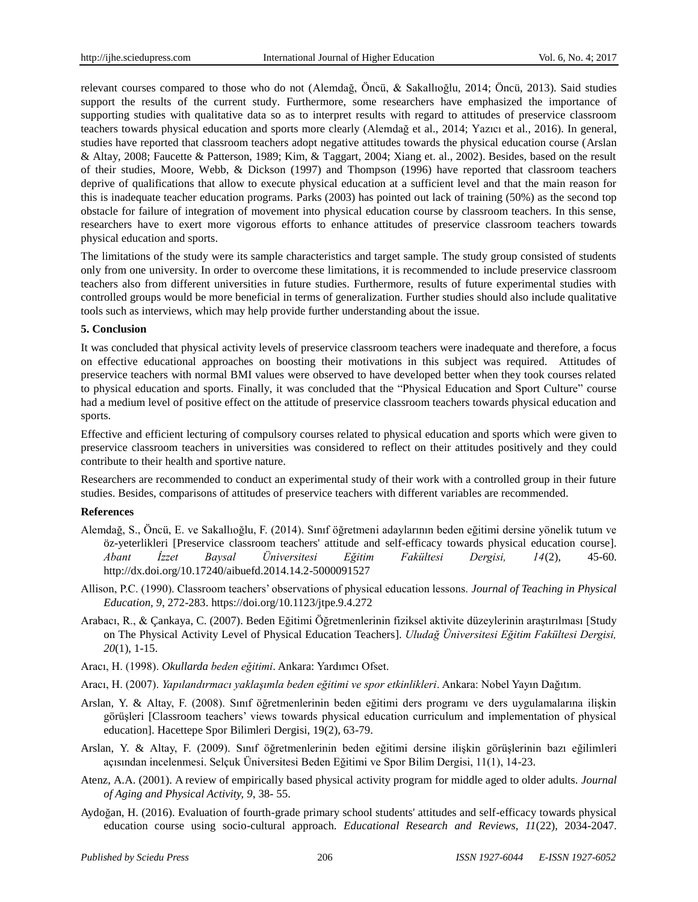relevant courses compared to those who do not (Alemdağ, Öncü, & Sakallıoğlu, 2014; Öncü, 2013). Said studies support the results of the current study. Furthermore, some researchers have emphasized the importance of supporting studies with qualitative data so as to interpret results with regard to attitudes of preservice classroom teachers towards physical education and sports more clearly (Alemdağ et al., 2014; Yazıcı et al., 2016). In general, studies have reported that classroom teachers adopt negative attitudes towards the physical education course (Arslan & Altay, 2008; Faucette & Patterson, 1989; Kim, & Taggart, 2004; Xiang et. al., 2002). Besides, based on the result of their studies, Moore, Webb, & Dickson (1997) and Thompson (1996) have reported that classroom teachers deprive of qualifications that allow to execute physical education at a sufficient level and that the main reason for this is inadequate teacher education programs. Parks (2003) has pointed out lack of training (50%) as the second top obstacle for failure of integration of movement into physical education course by classroom teachers. In this sense, researchers have to exert more vigorous efforts to enhance attitudes of preservice classroom teachers towards physical education and sports.

The limitations of the study were its sample characteristics and target sample. The study group consisted of students only from one university. In order to overcome these limitations, it is recommended to include preservice classroom teachers also from different universities in future studies. Furthermore, results of future experimental studies with controlled groups would be more beneficial in terms of generalization. Further studies should also include qualitative tools such as interviews, which may help provide further understanding about the issue.

## **5. Conclusion**

It was concluded that physical activity levels of preservice classroom teachers were inadequate and therefore, a focus on effective educational approaches on boosting their motivations in this subject was required. Attitudes of preservice teachers with normal BMI values were observed to have developed better when they took courses related to physical education and sports. Finally, it was concluded that the "Physical Education and Sport Culture" course had a medium level of positive effect on the attitude of preservice classroom teachers towards physical education and sports.

Effective and efficient lecturing of compulsory courses related to physical education and sports which were given to preservice classroom teachers in universities was considered to reflect on their attitudes positively and they could contribute to their health and sportive nature.

Researchers are recommended to conduct an experimental study of their work with a controlled group in their future studies. Besides, comparisons of attitudes of preservice teachers with different variables are recommended.

## **References**

- Alemdağ, S., Öncü, E. ve Sakallıoğlu, F. (2014). Sınıf öğretmeni adaylarının beden eğitimi dersine yönelik tutum ve öz-yeterlikleri [Preservice classroom teachers' attitude and self-efficacy towards physical education course]. *Abant İzzet Baysal Üniversitesi Eğitim Fakültesi Dergisi, 14*(2), 45-60. http://dx.doi.org/10.17240/aibuefd.2014.14.2-5000091527
- Allison, P.C. (1990). Classroom teachers' observations of physical education lessons. *Journal of Teaching in Physical Education, 9*, 272-283. https://doi.org/10.1123/jtpe.9.4.272
- Arabacı, R., & Çankaya, C. (2007). Beden Eğitimi Öğretmenlerinin fiziksel aktivite düzeylerinin araştırılması [Study on The Physical Activity Level of Physical Education Teachers]. *Uludağ Üniversitesi Eğitim Fakültesi Dergisi, 20*(1), 1-15.
- Aracı, H. (1998). *Okullarda beden eğitimi*. Ankara: Yardımcı Ofset.
- Aracı, H. (2007). *Yapılandırmacı yaklaşımla beden eğitimi ve spor etkinlikleri*. Ankara: Nobel Yayın Dağıtım.
- Arslan, Y. & Altay, F. (2008). Sınıf öğretmenlerinin beden eğitimi ders programı ve ders uygulamalarına ilişkin görüşleri [Classroom teachers' views towards physical education curriculum and implementation of physical education]. Hacettepe Spor Bilimleri Dergisi, 19(2), 63-79.
- Arslan, Y. & Altay, F. (2009). Sınıf öğretmenlerinin beden eğitimi dersine ilişkin görüşlerinin bazı eğilimleri açısından incelenmesi. Selçuk Üniversitesi Beden Eğitimi ve Spor Bilim Dergisi, 11(1), 14-23.
- Atenz, A.A. (2001). A review of empirically based physical activity program for middle aged to older adults. *Journal of Aging and Physical Activity, 9*, 38- 55.
- Aydoğan, H. (2016). Evaluation of fourth-grade primary school students' attitudes and self-efficacy towards physical education course using socio-cultural approach. *Educational Research and Reviews, 11*(22), 2034-2047.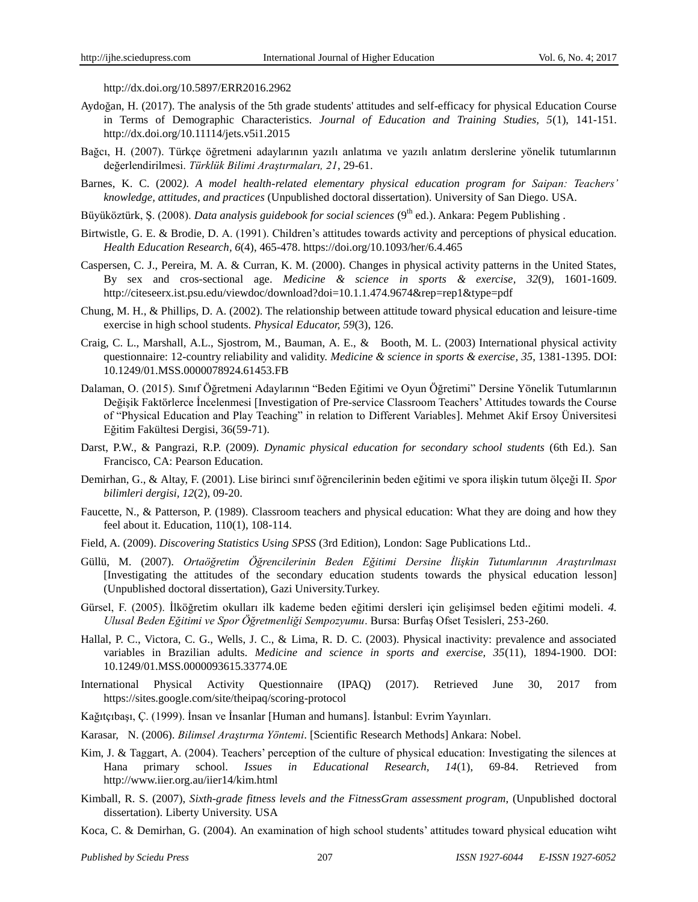http://dx.doi.org/10.5897/ERR2016.2962

- Aydoğan, H. (2017). The analysis of the 5th grade students' attitudes and self-efficacy for physical Education Course in Terms of Demographic Characteristics. *Journal of Education and Training Studies, 5*(1), 141-151. http://dx.doi.org/10.11114/jets.v5i1.2015
- Bağcı, H. (2007). Türkçe öğretmeni adaylarının yazılı anlatıma ve yazılı anlatım derslerine yönelik tutumlarının değerlendirilmesi. *Türklük Bilimi Araştırmaları, 21*, 29-61.
- Barnes, K. C. (2002*). A model health-related elementary physical education program for Saipan: Teachers' knowledge, attitudes, and practices* (Unpublished doctoral dissertation). University of San Diego. USA.
- Büyüköztürk, S. (2008). *Data analysis guidebook for social sciences* (9<sup>th</sup> ed.). Ankara: Pegem Publishing.
- Birtwistle, G. E. & Brodie, D. A. (1991). Children's attitudes towards activity and perceptions of physical education. *Health Education Research, 6*(4), 465-478. https://doi.org/10.1093/her/6.4.465
- Caspersen, C. J., Pereira, M. A. & Curran, K. M. (2000). Changes in physical activity patterns in the United States, By sex and cros-sectional age. *Medicine & science in sports & exercise, 32*(9), 1601-1609. http://citeseerx.ist.psu.edu/viewdoc/download?doi=10.1.1.474.9674&rep=rep1&type=pdf
- Chung, M. H., & Phillips, D. A. (2002). The relationship between attitude toward physical education and leisure-time exercise in high school students. *Physical Educator, 59*(3), 126.
- Craig, C. L., Marshall, A.L., Sjostrom, M., Bauman, A. E., & Booth, M. L. (2003) International physical activity questionnaire: 12-country reliability and validity. *Medicine & science in sports & exercise, 35*, 1381-1395. DOI: 10.1249/01.MSS.0000078924.61453.FB
- Dalaman, O. (2015). Sınıf Öğretmeni Adaylarının "Beden Eğitimi ve Oyun Öğretimi" Dersine Yönelik Tutumlarının Değişik Faktörlerce İncelenmesi [Investigation of Pre-service Classroom Teachers' Attitudes towards the Course of "Physical Education and Play Teaching" in relation to Different Variables]. Mehmet Akif Ersoy Üniversitesi Eğitim Fakültesi Dergisi, 36(59-71).
- Darst, P.W., & Pangrazi, R.P. (2009). *Dynamic physical education for secondary school students* (6th Ed.). San Francisco, CA: Pearson Education.
- Demirhan, G., & Altay, F. (2001). Lise birinci sınıf öğrencilerinin beden eğitimi ve spora ilişkin tutum ölçeği II. *Spor bilimleri dergisi, 12*(2), 09-20.
- Faucette, N., & Patterson, P. (1989). Classroom teachers and physical education: What they are doing and how they feel about it. Education, 110(1), 108-114.
- Field, A. (2009). *Discovering Statistics Using SPSS* (3rd Edition), London: Sage Publications Ltd..
- Güllü, M. (2007). *Ortaöğretim Öğrencilerinin Beden Eğitimi Dersine İlişkin Tutumlarının Araştırılması* [Investigating the attitudes of the secondary education students towards the physical education lesson] (Unpublished doctoral dissertation), Gazi University.Turkey.
- Gürsel, F. (2005). İlköğretim okulları ilk kademe beden eğitimi dersleri için gelişimsel beden eğitimi modeli. *4. Ulusal Beden Eğitimi ve Spor Öğretmenliği Sempozyumu*. Bursa: Burfaş Ofset Tesisleri, 253-260.
- Hallal, P. C., Victora, C. G., Wells, J. C., & Lima, R. D. C. (2003). Physical inactivity: prevalence and associated variables in Brazilian adults. *Medicine and science in sports and exercise, 35*(11), 1894-1900. DOI: 10.1249/01.MSS.0000093615.33774.0E
- International Physical Activity Questionnaire (IPAQ) (2017). Retrieved June 30, 2017 from https://sites.google.com/site/theipaq/scoring-protocol
- Kağıtçıbaşı, Ç. (1999). İnsan ve İnsanlar [Human and humans]. İstanbul: Evrim Yayınları.
- Karasar, N. (2006). *Bilimsel Araştırma Yöntemi*. [Scientific Research Methods] Ankara: Nobel.
- Kim, J. & Taggart, A. (2004). Teachers' perception of the culture of physical education: Investigating the silences at Hana primary school. *Issues in Educational Research, 14*(1), 69-84. Retrieved from <http://www.iier.org.au/iier14/kim.html>
- Kimball, R. S. (2007), *Sixth-grade fitness levels and the FitnessGram assessment program*, (Unpublished doctoral dissertation). Liberty University. USA
- Koca, C. & Demirhan, G. (2004). An examination of high school students' attitudes toward physical education wiht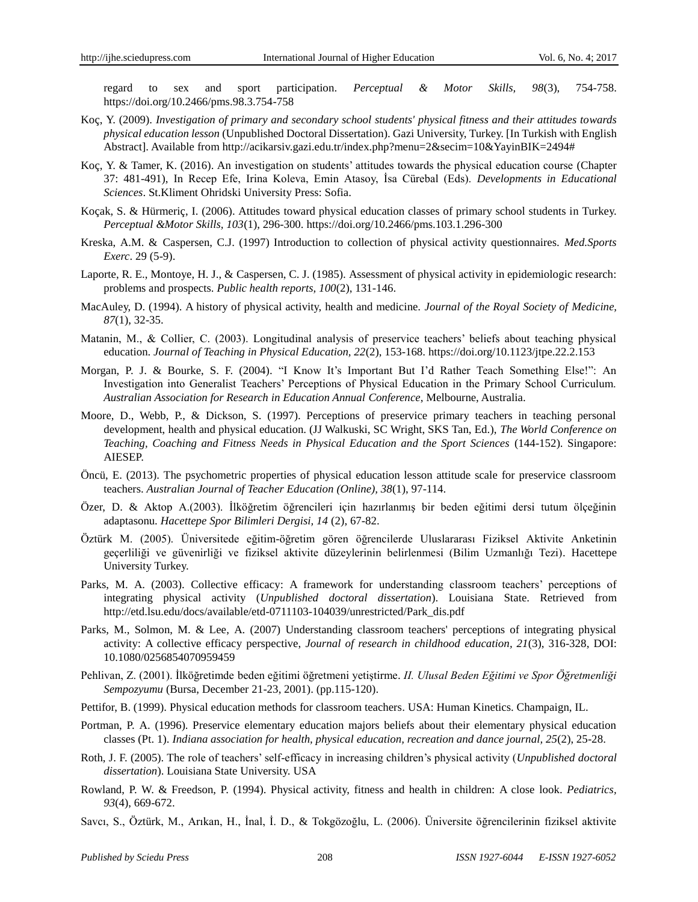regard to sex and sport participation. *Perceptual & Motor Skills, 98*(3), 754-758. https://doi.org/10.2466/pms.98.3.754-758

- Koç, Y. (2009). *Investigation of primary and secondary school students' physical fitness and their attitudes towards physical education lesson* (Unpublished Doctoral Dissertation). Gazi University, Turkey. [In Turkish with English Abstract]. Available from [http://acikarsiv.gazi.edu.tr/index.php?menu=2&secim=10&YayinBIK=2494#](http://acikarsiv.gazi.edu.tr/index.php?menu=2&secim=10&YayinBIK=2494)
- Koç, Y. & Tamer, K. (2016). An investigation on students' attitudes towards the physical education course (Chapter 37: 481-491), In Recep Efe, Irina Koleva, Emin Atasoy, İsa Cürebal (Eds). *Developments in Educational Sciences*. St.Kliment Ohridski University Press: Sofia.
- Koçak, S. & Hürmeriç, I. (2006). Attitudes toward physical education classes of primary school students in Turkey. *Perceptual &Motor Skills, 103*(1), 296-300. https://doi.org/10.2466/pms.103.1.296-300
- Kreska, A.M. & Caspersen, C.J. (1997) Introduction to collection of physical activity questionnaires. *Med.Sports Exerc*. 29 (5-9).
- Laporte, R. E., Montoye, H. J., & Caspersen, C. J. (1985). Assessment of physical activity in epidemiologic research: problems and prospects. *Public health reports, 100*(2), 131-146.
- MacAuley, D. (1994). A history of physical activity, health and medicine. *Journal of the Royal Society of Medicine, 87*(1), 32-35.
- Matanin, M., & Collier, C. (2003). Longitudinal analysis of preservice teachers' beliefs about teaching physical education. *Journal of Teaching in Physical Education, 22*(2), 153-168. https://doi.org/10.1123/jtpe.22.2.153
- Morgan, P. J. & Bourke, S. F. (2004). "I Know It's Important But I'd Rather Teach Something Else!": An Investigation into Generalist Teachers' Perceptions of Physical Education in the Primary School Curriculum. *Australian Association for Research in Education Annual Conference*, Melbourne, Australia.
- Moore, D., Webb, P., & Dickson, S. (1997). Perceptions of preservice primary teachers in teaching personal development, health and physical education. (JJ Walkuski, SC Wright, SKS Tan, Ed.), *The World Conference on Teaching, Coaching and Fitness Needs in Physical Education and the Sport Sciences* (144-152). Singapore: AIESEP.
- Öncü, E. (2013). The psychometric properties of physical education lesson attitude scale for preservice classroom teachers. *Australian Journal of Teacher Education (Online), 38*(1), 97-114.
- Özer, D. & Aktop A.(2003). İlköğretim öğrencileri için hazırlanmış bir beden eğitimi dersi tutum ölçeğinin adaptasonu. *Hacettepe Spor Bilimleri Dergisi, 14* (2), 67-82.
- Öztürk M. (2005). Üniversitede eğitim-öğretim gören öğrencilerde Uluslararası Fiziksel Aktivite Anketinin geçerliliği ve güvenirliği ve fiziksel aktivite düzeylerinin belirlenmesi (Bilim Uzmanlığı Tezi). Hacettepe University Turkey.
- Parks, M. A. (2003). Collective efficacy: A framework for understanding classroom teachers' perceptions of integrating physical activity (*Unpublished doctoral dissertation*). Louisiana State. Retrieved from [http://etd.lsu.edu/docs/available/etd-0711103-104039/unrestricted/Park\\_dis.pdf](http://etd.lsu.edu/docs/available/etd-0711103-104039/unrestricted/Park_dis.pdf)
- Parks, M., Solmon, M. & Lee, A. (2007) Understanding classroom teachers' perceptions of integrating physical activity: A collective efficacy perspective, *Journal of research in childhood education, 21*(3), 316-328, DOI: 10.1080/0256854070959459
- Pehlivan, Z. (2001). İlköğretimde beden eğitimi öğretmeni yetiştirme. *II. Ulusal Beden Eğitimi ve Spor Öğretmenliği Sempozyumu* (Bursa, December 21-23, 2001). (pp.115-120).
- Pettifor, B. (1999). Physical education methods for classroom teachers. USA: Human Kinetics. Champaign, IL.
- Portman, P. A. (1996). Preservice elementary education majors beliefs about their elementary physical education classes (Pt. 1). *Indiana association for health, physical education, recreation and dance journal, 25*(2), 25-28.
- Roth, J. F. (2005). The role of teachers' self-efficacy in increasing children's physical activity (*Unpublished doctoral dissertation*). Louisiana State University. USA
- Rowland, P. W. & Freedson, P. (1994). Physical activity, fitness and health in children: A close look. *Pediatrics, 93*(4), 669-672.
- Savcı, S., Öztürk, M., Arıkan, H., İnal, İ. D., & Tokgözoğlu, L. (2006). Üniversite öğrencilerinin fiziksel aktivite